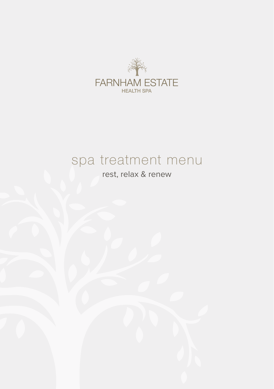

# spa treatment menu

### rest, relax & renew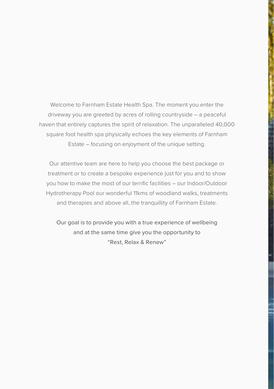Welcome to Farnham Estate Health Spa. The moment you enter the driveway you are greeted by acres of rolling countryside – a peaceful haven that entirely captures the spirit of relaxation. The unparalleled 40,000 square foot health spa physically echoes the key elements of Farnham Estate – focusing on enjoyment of the unique setting.

Our attentive team are here to help you choose the best package or treatment or to create a bespoke experience just for you and to show you how to make the most of our terrific facilities – our Indoor/Outdoor Hydrotherapy Pool our wonderful 11kms of woodland walks, treatments and therapies and above all, the tranquillity of Farnham Estate.

Our goal is to provide you with a true experience of wellbeing and at the same time give you the opportunity to "Rest, Relax & Renew"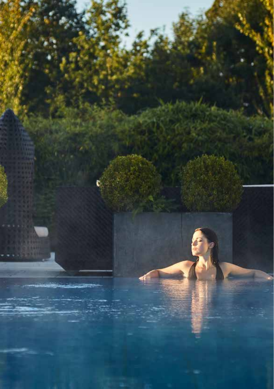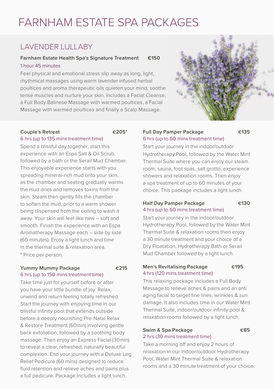### FARNHAM ESTATE SPA PACKAGES

### LAVENDER LULLABY

### **Farnham Estate Health Spa's Signature Treatment €150** 1 hour 45 minutes

Feel physical and emotional stress slip away as long, light, rhythmical massages using warm lavender infused herbal poultices and aroma therapeutic oils quieten your mind, soothe tense muscles and nurture your skin. Includes a Facial Cleanse, a Full Body Balinese Massage with warmed poultices, a Facial Massage with warmed poultices and finally a Scalp Massage.



#### **Couple's Retreat €205\***

#### 6 hrs (up to 135 mins treatment time)

Spend a blissful day together, start this experience with an Espa Salt & Oil Scrub, followed by a bath or the Serail Mud Chamber. This enjoyable experience starts with you spreading mineral-rich mud onto your skin, as the chamber and seating gradually warms the mud dries and removes toxins from the skin. Steam then gently fills the chamber to soften the mud, prior to a warm shower being dispensed from the ceiling to wash it away. Your skin will feel like new – soft and smooth. Finish the experience with an Espa Aromatherapy Massage each – side by side (60 minutes). Enjoy a light lunch and time in the thermal suite & relaxation area. \* Price per person.

#### **Yummy Mummy Package €215** 6 hrs (up to 150 mins treatment time)

Take time just for yourself before or after you have your little bundle of joy. Relax, unwind and return feeling totally refreshed. Start the journey with enjoying time in our blissful infinity pool that extends outside before a deeply nourishing Pre-Natal Relax & Restore Treatment (60min) involving gentle back exfoliation, followed by a soothing body massage. Then enjoy an Express Facial (30min) to reveal a clear, refreshed, naturally beautiful complexion. End your journey with a Deluxe Leg Relief Pedicure (60 mins) designed to reduce fluid retention and relieve aches and pains plus a full pedicure. Package includes a light lunch.

#### **Full Day Pamper Package €135** 6 hrs (up to 60 mins treatment time)

Start your journey in the indoor/outdoor Hydrotherapy Pool, followed by the Water Mint Thermal Suite where you can enjoy our steam room, sauna, foot spas, salt grotto, experience showers and relaxation rooms. Then enjoy a spa treatment of up to 60 minutes of your choice. This package includes a light lunch.

#### **Half Day Pamper Package €130** 4 hrs (up to 60 mins treatment time)

Start your journey in the indoor/outdoor Hydrotherapy Pool, followed by the Water Mint Thermal Suite & relaxation rooms then enjoy a 30 minute treatment and your choice of a Dry Floatation, Hydrotherapy Bath or Serail Mud Chamber followed by a light lunch.

#### **Men's Revitalising Package €195**  4 hrs (120 mins treatment time)

This relaxing package includes a Full Body Massage to relieve aches & pains and an anti aging facial to target fine lines, wrinkles & sun damage. It also includes time in our Water Mint Thermal Suite, indoor/outdoor infinity pool & relaxation rooms followed by a light lunch.

#### **Swim & Spa Package €85**  2 hrs (30 mins treatment time)

Take a morning off and enjoy 2 hours of relaxation in our indoor/outdoor Hydrotherapy Pool, Water Mint Thermal Suite & relaxation rooms and a 30 minute treatment of your choice.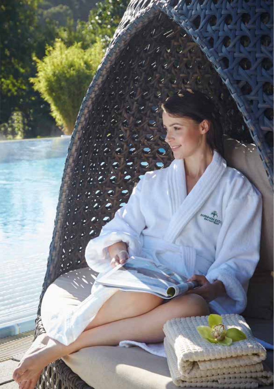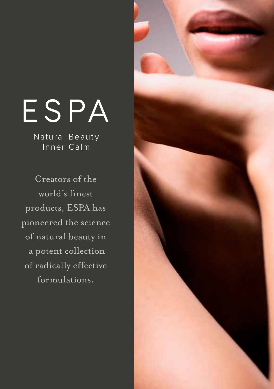# ESPA

Natural Beauty Inner Calm

Creators of the world's finest products, ESPA has pioneered the science of natural beauty in a potent collection of radically effective formulations.

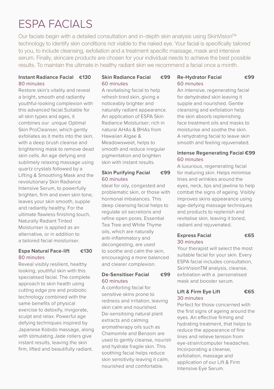# ESPA FACIALS

Our facials begin with a detailed consultation and in-depth skin analysis using SkinVision™ technology to identify skin conditions not visible to the naked eye. Your facial is specifically tailored to you, to include cleansing, exfoliation and a treatment specific massage, mask and intensive serum. Finally, skincare products are chosen for your individual needs to achieve the best possible results. To maintain the ultimate in healthy radiant skin we recommend a facial once a month.

#### **Instant Radiance Facial €130** 80 minutes

Restore skin's vitality and reveal a bright, smooth and radiantly youthful-looking complexion with this advanced facial.Suitable for all skin types and ages, it combines our unique Optimal Skin ProCleanser, which gently exfoliates as it melts into the skin, with a deep brush cleanse and brightening mask to remove dead skin cells. An age defying and sublimely relaxing massage using quartz crystals followed by a Lifting & Smoothing Mask and the revolutionary Skin Radiance Intensive Serum, to powerfully brighten, firm and even skin tone, leaves your skin smooth, supple and radiantly healthy. For the ultimate flawless finishing touch, Naturally Radiant Tinted Moisturiser is applied as an alternative, or in addition to a tailored facial moisturiser.

#### **Espa Natural Face-lift €130** 80 minutes

Reveal visibly resilient, healthy looking, youthful skin with this specialised facial. The complete approach to skin health using cutting edge pre and probiotic technology combined with the same benefits of physical exercise to detoxify, invigorate, sculpt and relax. Powerful age defying techniques inspired by Japanese Kobido massage, along with stimulating Jade rollers give instant results, leaving the skin firm, lifted and beautifully radiant.

#### **Skin Radiance Facial €99** 60 minutes

A revitalising facial to help refresh tired skin, giving a noticeably brighter and naturally radiant appearance. An application of ESPA Skin Radiance Moisturiser; rich in natural AHAs & BHAs from Hawaiian Algae & Meadowsweet, helps to smooth and reduce irregular pigmentation and brighten skin with instant results.

#### **Skin Purifying Facial €99** 60 minutes

Ideal for oily, congested and problematic skin, or those with hormonal imbalances. This deep cleansing facial helps to regulate oil secretions and refine open pores. Essential Tea Tree and White Thyme oils, which are naturally anti-inflammatory and decongesting, are used to soothe and calm the skin, encouraging a more balanced and clearer complexion.

#### **De-Sensitiser Facial €99** 60 minutes

A comforting facial for sensitive skins prone to redness and irritation, leaving skin calm and nourished. De-sensitising natural plant extracts and calming aromatherapy oils such as Chamomile and Benzoin are used to gently cleanse, nourish and hydrate fragile skin. This soothing facial helps reduce skin sensitivity leaving it calm, nourished and comfortable.

#### **Re-Hydrator Facial €99** 60 minutes

An intensive, regenerating facial for dehydrated skin leaving it supple and nourished. Gentle cleansing and exfoliation help the skin absorb replenishing face treatment oils and masks to moisturise and soothe the skin. A rehydrating facial to leave skin smooth and feeling rejuvenated.

#### **Intense Regenerating Facial €99** 60 minutes

A luxurious, regenerating facial for maturing skin. Helps minimise lines and wrinkles around the eyes, neck, lips and jawline to help combat the signs of ageing. Visibly improves skins appearance using age-defying massage techniques and products to replenish and revitalise skin, leaving it toned, radiant and rejuvenated.

#### **Express Facial €65**  30 minutes

Your therapist will select the most suitable facial for your skin. Every ESPA facial includes consultation, SkinVisionTM analysis, cleanse, exfoliation with a personalised mask and booster serum.

#### **Lift & Firm Eye Lift €65**  30 minutes

Perfect for those concerned with the first signs of ageing around the eyes. An effective firming and hydrating treatment, that helps to reduce the appearance of fine lines and relieve tension from eye-strain/computer headaches. Incorporating a cleanse, exfoliation, massage and application of our Lift & Firm Intensive Eye Serum.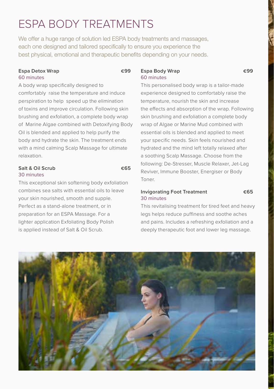# ESPA BODY TREATMENTS

We offer a huge range of solution led ESPA body treatments and massages, each one designed and tailored specifically to ensure you experience the best physical, emotional and therapeutic benefits depending on your needs.

#### **Espa Detox Wrap €99** 60 minutes

A body wrap specifically designed to comfortably raise the temperature and induce perspiration to help speed up the elimination of toxins and improve circulation. Following skin brushing and exfoliation, a complete body wrap of Marine Algae combined with Detoxifying Body Oil is blended and applied to help purify the body and hydrate the skin. The treatment ends with a mind calming Scalp Massage for ultimate relaxation.

#### **Salt & Oil Scrub €65** 30 minutes

This exceptional skin softening body exfoliation combines sea salts with essential oils to leave your skin nourished, smooth and supple. Perfect as a stand-alone treatment, or in preparation for an ESPA Massage. For a lighter application Exfoliating Body Polish is applied instead of Salt & Oil Scrub.

#### **Espa Body Wrap €99** 60 minutes

This personalised body wrap is a tailor-made experience designed to comfortably raise the temperature, nourish the skin and increase the effects and absorption of the wrap. Following skin brushing and exfoliation a complete body wrap of Algae or Marine Mud combined with essential oils is blended and applied to meet your specific needs. Skin feels nourished and hydrated and the mind left totally relaxed after a soothing Scalp Massage. Choose from the following: De-Stresser, Muscle Relaxer, Jet-Lag Reviver, Immune Booster, Energiser or Body Toner.

#### **Invigorating Foot Treatment €65** 30 minutes

This revitalising treatment for tired feet and heavy legs helps reduce puffiness and soothe aches and pains. Includes a refreshing exfoliation and a deeply therapeutic foot and lower leg massage.

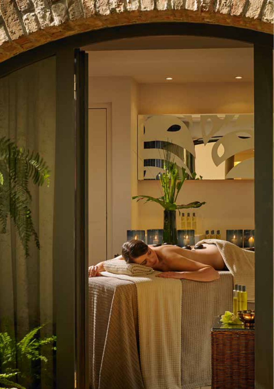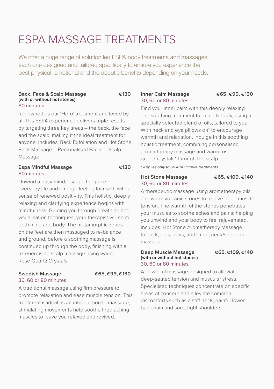### ESPA MASSAGE TREATMENTS

We offer a huge range of solution led ESPA body treatments and massages, each one designed and tailored specifically to ensure you experience the best physical, emotional and therapeutic benefits depending on your needs.

#### **Back, Face & Scalp Massage €130 (with or without hot stones)**  80 minutes

Renowned as our 'Hero' treatment and loved by all; this ESPA experience delivers triple results by targeting three key areas – the back, the face and the scalp, making it the ideal treatment for anyone. Includes: Back Exfoliation and Hot Stone Back Massage – Personalised Facial – Scalp Massage.

#### **Espa Mindful Massage €130** 80 minutes

Unwind a busy mind, escape the pace of everyday life and emerge feeling focused, with a sense of renewed positivity. This holistic, deeply relaxing and clarifying experience begins with mindfulness. Guiding you through breathing and visualisation techniques, your therapist will calm both mind and body. The metamorphic zones on the feet are then massaged to re-balance and ground, before a soothing massage is continued up through the body, finishing with a re-energising scalp massage using warm Rose Quartz Crystals.

#### **Swedish Massage €65, €99, €130** 30, 60 or 80 minutes

A traditional massage using firm pressure to promote relaxation and ease muscle tension. This treatment is ideal as an introduction to massage; stimulating movements help soothe tired aching muscles to leave you relaxed and revived.

#### **Inner Calm Massage €65, €99, €130** 30, 60 or 80 minutes

Find your inner calm with this deeply relaxing and soothing treatment for mind & body, using a specially selected blend of oils, tailored to you. With neck and eye pillows on\* to encourage warmth and relaxation, indulge in this soothing holistic treatment, combining personalised aromatherapy massage and warm rose quartz crystals\* through the scalp.

*\* Applies only to 60 & 80 minute treatments*

#### Hot Stone Massage **€65, €109, €140** 30, 60 or 80 minutes

A therapeutic massage using aromatherapy oils and warm volcanic stones to relieve deep muscle tension. The warmth of the stones penetrates your muscles to soothe aches and pains; helping you unwind and your body to feel rejuvenated. Includes: Hot Stone Aromatherapy Massage to back, legs, arms, abdomen, neck/shoulder massage.

#### **Deep Muscle Massage €65, €109, €140 (with or without hot stones)** 30, 60 or 80 minutes

A powerful massage designed to alleviate deep-seated tension and muscular stress. Specialised techniques concentrate on specific areas of concern and alleviate common discomforts such as a stiff neck, painful lower back pain and sore, tight shoulders.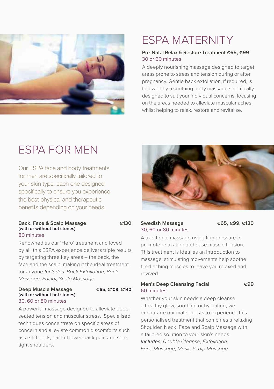

### ESPA MATERNITY

#### **Pre-Natal Relax & Restore Treatment €65, €99** 30 or 60 minutes

A deeply nourishing massage designed to target areas prone to stress and tension during or after pregnancy. Gentle back exfoliation, if required, is followed by a soothing body massage specifically designed to suit your individual concerns, focusing on the areas needed to alleviate muscular aches, whilst helping to relax, restore and revitalise

### ESPA FOR MEN

Our ESPA face and body treatments for men are specifically tailored to your skin type, each one designed specifically to ensure you experience the best physical and therapeutic benefits depending on your needs.

#### **Back, Face & Scalp Massage €130 (with or without hot stones)**  80 minutes

Renowned as our 'Hero' treatment and loved by all; this ESPA experience delivers triple results by targeting three key areas – the back, the face and the scalp, making it the ideal treatment for anyone.*Includes: Back Exfoliation, Back Massage, Facial, Scalp Massage.*

#### **Deep Muscle Massage €65, €109, €140 (with or without hot stones)** 30, 60 or 80 minutes

A powerful massage designed to alleviate deepseated tension and muscular stress. Specialised techniques concentrate on specific areas of concern and alleviate common discomforts such as a stiff neck, painful lower back pain and sore, tight shoulders



### **Swedish Massage €65, €99, €130** 30, 60 or 80 minutes

A traditional massage using firm pressure to promote relaxation and ease muscle tension. This treatment is ideal as an introduction to massage; stimulating movements help soothe tired aching muscles to leave you relaxed and revived.

#### **Men's Deep Cleansing Facial €99** 60 minutes

### Whether your skin needs a deep cleanse, a healthy glow, soothing or hydrating, we encourage our male guests to experience this personalised treatment that combines a relaxing Shoulder, Neck, Face and Scalp Massage with a tailored solution to your skin's needs. *Includes: Double Cleanse, Exfoliation, Face Massage, Mask, Scalp Massage.*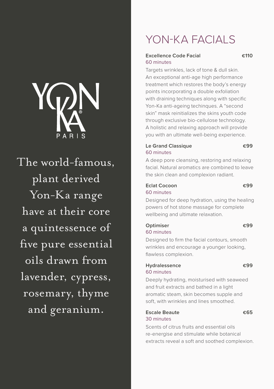

The world-famous, plant derived Yon-Ka range have at their core a quintessence of five pure essential oils drawn from lavender, cypress, rosemary, thyme and geranium.

### YON-KA FACIALS

#### **Excellence Code Facial €110** 60 minutes

Targets wrinkles, lack of tone & dull skin. An exceptional anti-age high performance treatment which restores the body's energy points incorporating a double exfoliation with draining techniques along with specific Yon-Ka anti-ageing techinques. A "second skin" mask reinitializes the skins youth code through exclusive bio-cellulose technology. A holistic and relaxing approach will provide you with an ultimate well-being experience.

#### **Le Grand Classique €99** 60 minutes

A deep pore cleansing, restoring and relaxing facial. Natural aromatics are combined to leave the skin clean and complexion radiant.

#### **Eclat Cocoon €99** 60 minutes

Designed for deep hydration, using the healing powers of hot stone massage for complete wellbeing and ultimate relaxation.

### **Optimiser €99** 60 minutes

Designed to firm the facial contours, smooth wrinkles and encourage a younger looking, flawless complexion.

#### **Hydralessence €99** 60 minutes

Deeply hydrating, moisturised with seaweed and fruit extracts and bathed in a light aromatic steam, skin becomes supple and soft, with wrinkles and lines smoothed.

### **Escale Beaute €65** 30 minutes

Scents of citrus fruits and essential oils re-energise and stimulate while botanical extracts reveal a soft and soothed complexion.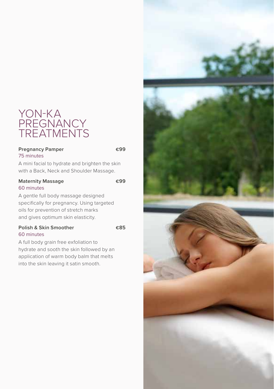

#### **Pregnancy Pamper €99** 75 minutes

A mini facial to hydrate and brighten the skin with a Back, Neck and Shoulder Massage.

#### **Maternity Massage €99** 60 minutes

A gentle full body massage designed specifically for pregnancy. Using targeted oils for prevention of stretch marks and gives optimum skin elasticity.

### **Polish & Skin Smoother €85** 60 minutes

A full body grain free exfoliation to hydrate and sooth the skin followed by an application of warm body balm that melts into the skin leaving it satin smooth.

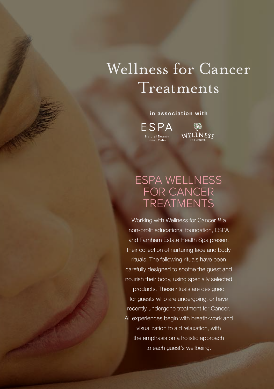# Wellness for Cancer Treatments

#### in association with

ESPA



### ESPA WELLNESS FOR CANCER **TREATMENTS**

Working with Wellness for Cancer™ a non-profit educational foundation, ESPA and Farnham Estate Health Spa present their collection of nurturing face and body rituals. The following rituals have been carefully designed to soothe the guest and nourish their body, using specially selected products. These rituals are designed for guests who are undergoing, or have recently undergone treatment for Cancer. All experiences begin with breath-work and visualization to aid relaxation, with the emphasis on a holistic approach to each guest's wellbeing.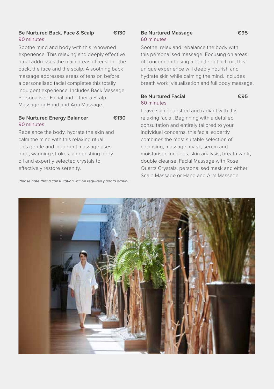#### **Be Nurtured Back, Face & Scalp €130** 90 minutes

Soothe mind and body with this renowned experience. This relaxing and deeply effective ritual addresses the main areas of tension - the back, the face and the scalp. A soothing back massage addresses areas of tension before a personalised facial completes this totally indulgent experience. Includes Back Massage, Personalised Facial and either a Scalp Massage or Hand and Arm Massage.

#### **Be Nurtured Energy Balancer €130** 90 minutes

Rebalance the body, hydrate the skin and calm the mind with this relaxing ritual. This gentle and indulgent massage uses long, warming strokes, a nourishing body oil and expertly selected crystals to effectively restore serenity.

*Please note that a consultation will be required prior to arrival.*

#### **Be Nurtured Massage €95** 60 minutes

Soothe, relax and rebalance the body with this personalised massage. Focusing on areas of concern and using a gentle but rich oil, this unique experience will deeply nourish and hydrate skin while calming the mind. Includes breath work, visualisation and full body massage.

#### **Be Nurtured Facial €95**  60 minutes

Leave skin nourished and radiant with this relaxing facial. Beginning with a detailed consultation and entirely tailored to your individual concerns, this facial expertly combines the most suitable selection of cleansing, massage, mask, serum and moisturiser. Includes, skin analysis, breath work, double cleanse, Facial Massage with Rose Quartz Crystals, personalised mask and either Scalp Massage or Hand and Arm Massage.

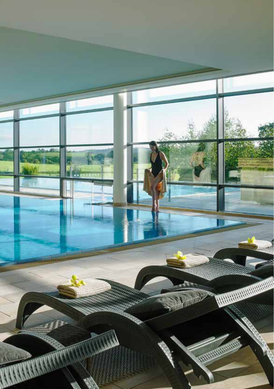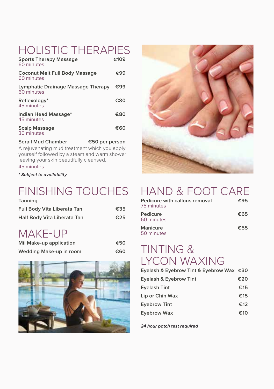### HOLISTIC THERAPIES

| <b>Sports Therapy Massage</b><br>60 minutes      | €109 |
|--------------------------------------------------|------|
| Coconut Melt Full Body Massage<br>60 minutes     | €99  |
| Lymphatic Drainage Massage Therapy<br>60 minutes | €99  |
| Reflexology*<br>45 minutes                       | €80  |
| Indian Head Massage*<br>45 minutes               | €80  |
| <b>Scalp Massage</b><br>30 minutes               | €60  |

**Serail Mud Chamber €50 per person**

A rejuvenating mud treatment which you apply yourself followed by a steam and warm shower leaving your skin beautifully cleansed.

#### 45 minutes

*\* Subject to availability*

# FINISHING TOUCHES HAND & FOOT CARE

| Tanning                     |     |
|-----------------------------|-----|
| Full Body Vita Liberata Tan | €35 |
| Half Body Vita Liberata Tan | €25 |

### MAKE-UP

| Mii Make-up application | €50 |
|-------------------------|-----|
| Wedding Make-up in room | €60 |





| Pedicure with callous removal<br>75 minutes | €95 |
|---------------------------------------------|-----|
| Pedicure<br>60 minutes                      | €65 |
| <b>Manicure</b><br>50 minutes               | €55 |

### TINTING & LYCON WAXING

| Eyelash & Eyebrow Tint & Eyebrow Wax €30 |     |
|------------------------------------------|-----|
| Eyelash & Eyebrow Tint                   | €20 |
| Eyelash Tint                             | €15 |
| Lip or Chin Wax                          | €15 |
| <b>Eyebrow Tint</b>                      | €12 |
| <b>Eyebrow Wax</b>                       | €10 |

*24 hour patch test required*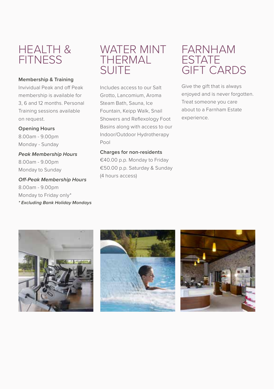### HEALTH & **FITNESS**

#### **Membership & Training**

Invividual Peak and off Peak membership is available for 3, 6 and 12 months. Personal Training sessions available on request.

#### **Opening Hours**

8.00am - 9.00pm Monday - Sunday

*Peak Membership Hours*  8.00am - 9.00pm Monday to Sunday

*Off-Peak Membership Hours*  8.00am - 9.00pm Monday to Friday only\* *\* Excluding Bank Holiday Mondays*



Includes access to our Salt Grotto, Lancomium, Aroma Steam Bath, Sauna, Ice Fountain, Keipp Walk, Snail Showers and Reflexology Foot Basins along with access to our Indoor/Outdoor Hydrotherapy Pool

**Charges for non-residents**

€40.00 p.p. Monday to Friday €50.00 p.p. Saturday & Sunday (4 hours access)

### FARNHAM **FSTATE** GIFT CARDS

Give the gift that is always enjoyed and is never forgotten. Treat someone you care about to a Farnham Estate experience.





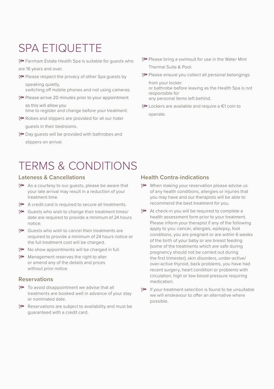# SPA ETIQUETTE

a Farnham Estate Health Spa is suitable for guests who

are 16 years and over.

 $%$  Please respect the privacy of other Spa guests by

speaking quietly, switching off mobile phones and not using cameras.

 $20$  Please arrive 20 minutes prior to your appointment as this will allow you

time to register and change before your treatment.

- a<sup>→</sup> Robes and slippers are provided for all our hotel guests in their bedrooms.
- a Day quests will be provided with bathrobes and slippers on arrival.
- $2^\circ$  Please bring a swimsuit for use in the Water Mint Thermal Suite & Pool.
- a Please ensure you collect all personal belongings

from your locker or bathrobe before leaving as the Health Spa is not responsible for any personal items left behind.

2<sup>0→</sup> Lockers are available and require a €1 coin to operate.

## TERMS & CONDITIONS

#### **Lateness & Cancellations**

- $\frac{1}{2}$  As a courtesy to our quests, please be aware that your late arrival may result in a reduction of your treatment time.
- **a** A credit card is required to secure all treatments.
- $\frac{1}{2}$  Guests who wish to change their treatment times/ date are required to provide a minimum of 24 hours notice.
- $%$  Guests who wish to cancel their treatments are required to provide a minimum of 24 hours notice or the full treatment cost will be charged.
- a No show appointments will be charged in full.
- $\partial$  Management reserves the right to alter or amend any of the details and prices without prior notice.

#### **Reservations**

- $\partial$  To avoid disappointment we advise that all treatments are booked well in advance of your stay or nominated date.
- a<sup>o</sup> Reservations are subject to availability and must be guaranteed with a credit card.

#### **Health Contra-indications**

- a When making your reservation please advise us of any health conditions, allergies or injuries that you may have and our therapists will be able to recommend the best treatment for you.
- $%$  At check-in you will be required to complete a health assessment form prior to your treatment. Please inform your therapist if any of the following apply to you: cancer, allergies, epilepsy, foot conditions, you are pregnant or are within 6 weeks of the birth of your baby or are breast feeding (some of the treatments which are safe during pregnancy should not be carried out during the first trimester), skin disorders, under-active/ over-active thyroid, back problems, you have had recent surgery, heart condition or problems with circulation, high or low blood pressure requiring medication.
- $2<sup>o</sup>$  If your treatment selection is found to be unsuitable we will endeavour to offer an alternative where possible.